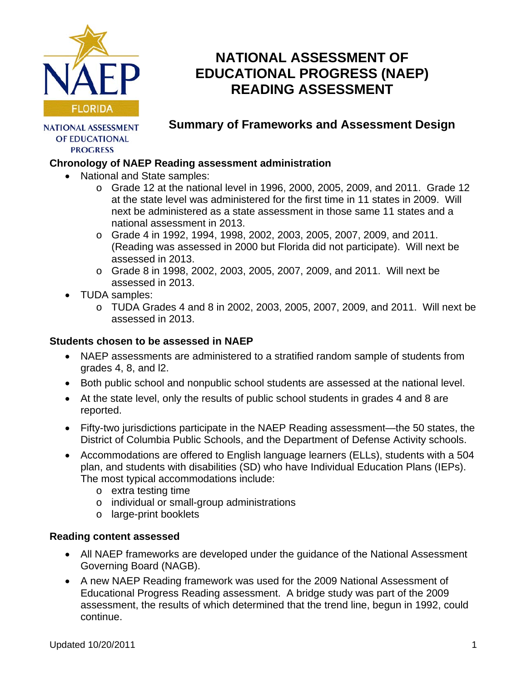

# **NATIONAL ASSESSMENT OF EDUCATIONAL PROGRESS (NAEP) READING ASSESSMENT**

**NATIONAL ASSESSMENT** OF EDUCATIONAL **PROGRESS** 

# **Summary of Frameworks and Assessment Design**

## **Chronology of NAEP Reading assessment administration**

- National and State samples:
	- $\circ$  Grade 12 at the national level in 1996, 2000, 2005, 2009, and 2011. Grade 12 at the state level was administered for the first time in 11 states in 2009. Will next be administered as a state assessment in those same 11 states and a national assessment in 2013.
	- $\circ$  Grade 4 in 1992, 1994, 1998, 2002, 2003, 2005, 2007, 2009, and 2011. (Reading was assessed in 2000 but Florida did not participate). Will next be assessed in 2013.
	- o Grade 8 in 1998, 2002, 2003, 2005, 2007, 2009, and 2011. Will next be assessed in 2013.
- TUDA samples:
	- o TUDA Grades 4 and 8 in 2002, 2003, 2005, 2007, 2009, and 2011. Will next be assessed in 2013.

#### **Students chosen to be assessed in NAEP**

- NAEP assessments are administered to a stratified random sample of students from grades 4, 8, and l2.
- Both public school and nonpublic school students are assessed at the national level.
- At the state level, only the results of public school students in grades 4 and 8 are reported.
- Fifty-two jurisdictions participate in the NAEP Reading assessment—the 50 states, the District of Columbia Public Schools, and the Department of Defense Activity schools.
- Accommodations are offered to English language learners (ELLs), students with a 504 plan, and students with disabilities (SD) who have Individual Education Plans (IEPs). The most typical accommodations include:
	- o extra testing time
	- o individual or small-group administrations
	- o large-print booklets

#### **Reading content assessed**

- All NAEP frameworks are developed under the guidance of the National Assessment Governing Board (NAGB).
- A new NAEP Reading framework was used for the 2009 National Assessment of Educational Progress Reading assessment. A bridge study was part of the 2009 assessment, the results of which determined that the trend line, begun in 1992, could continue.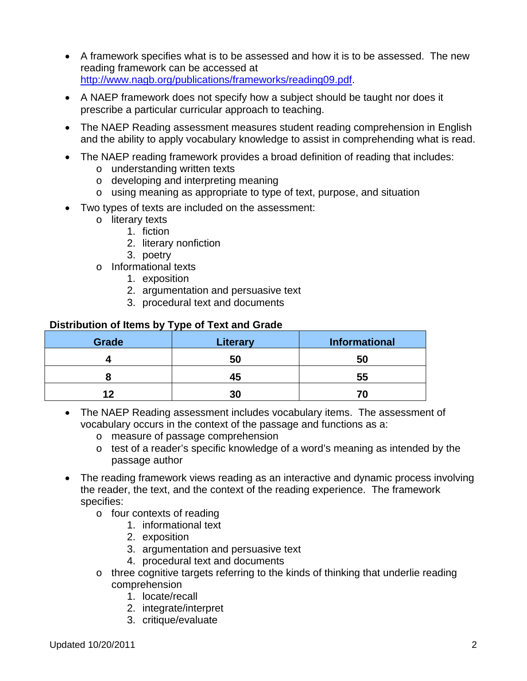- A framework specifies what is to be assessed and how it is to be assessed. The new reading framework can be accessed at [http://www.nagb.org/publications/frameworks/reading09.pdf.](http://www.nagb.org/publications/frameworks/reading09.pdf)
- A NAEP framework does not specify how a subject should be taught nor does it prescribe a particular curricular approach to teaching.
- The NAEP Reading assessment measures student reading comprehension in English and the ability to apply vocabulary knowledge to assist in comprehending what is read.
- The NAEP reading framework provides a broad definition of reading that includes:
	- o understanding written texts
	- o developing and interpreting meaning
	- o using meaning as appropriate to type of text, purpose, and situation
- Two types of texts are included on the assessment:
	- o literary texts
		- 1. fiction
		- 2. literary nonfiction
		- 3. poetry
	- o Informational texts
		- 1. exposition
		- 2. argumentation and persuasive text
		- 3. procedural text and documents

#### **Distribution of Items by Type of Text and Grade**

| Grade | <b>Literary</b> | <b>Informational</b> |
|-------|-----------------|----------------------|
|       | 50              | 50                   |
|       | 45              | 55                   |
| 12    | 30              |                      |

- The NAEP Reading assessment includes vocabulary items. The assessment of vocabulary occurs in the context of the passage and functions as a:
	- o measure of passage comprehension
	- o test of a reader's specific knowledge of a word's meaning as intended by the passage author
- The reading framework views reading as an interactive and dynamic process involving the reader, the text, and the context of the reading experience. The framework specifies:
	- o four contexts of reading
		- 1. informational text
		- 2. exposition
		- 3. argumentation and persuasive text
		- 4. procedural text and documents
	- o three cognitive targets referring to the kinds of thinking that underlie reading comprehension
		- 1. locate/recall
		- 2. integrate/interpret
		- 3. critique/evaluate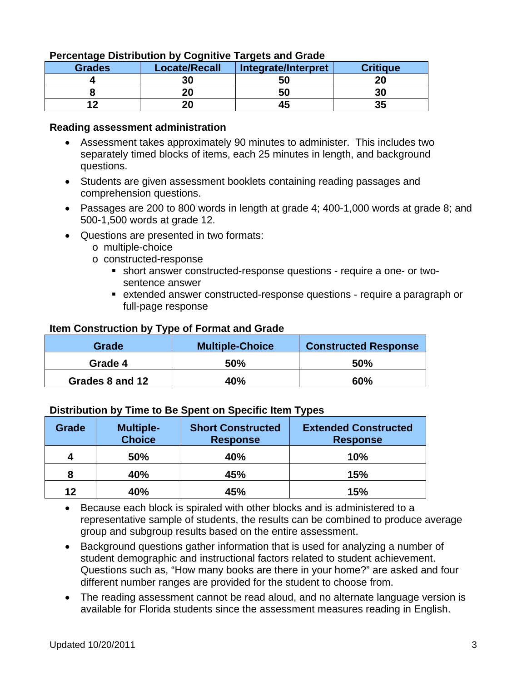| <b>Grades</b> | <b>Locate/Recall</b> | Integrate/Interpret | <b>Critique</b> |
|---------------|----------------------|---------------------|-----------------|
|               | 30                   | 50                  |                 |
|               | 20                   | 50                  | 30              |
|               | 20                   | 43                  |                 |

#### **Percentage Distribution by Cognitive Targets and Grade**

#### **Reading assessment administration**

- Assessment takes approximately 90 minutes to administer. This includes two separately timed blocks of items, each 25 minutes in length, and background questions.
- Students are given assessment booklets containing reading passages and comprehension questions.
- Passages are 200 to 800 words in length at grade 4; 400-1,000 words at grade 8; and 500-1,500 words at grade 12.
- Questions are presented in two formats:
	- o multiple-choice
	- o constructed-response
		- short answer constructed-response questions require a one- or twosentence answer
		- extended answer constructed-response questions require a paragraph or full-page response

#### **Item Construction by Type of Format and Grade**

| Grade           | <b>Multiple-Choice</b> | <b>Constructed Response</b> |
|-----------------|------------------------|-----------------------------|
| Grade 4         | 50%                    | 50%                         |
| Grades 8 and 12 | 40%                    | 60%                         |

#### **Distribution by Time to Be Spent on Specific Item Types**

| Grade | <b>Multiple-</b><br><b>Choice</b> | <b>Short Constructed</b><br><b>Response</b> | <b>Extended Constructed</b><br><b>Response</b> |
|-------|-----------------------------------|---------------------------------------------|------------------------------------------------|
| 4     | 50%                               | 40%                                         | 10%                                            |
| 8     | 40%                               | 45%                                         | 15%                                            |
| 12    | 40%                               | 45%                                         | 15%                                            |

• Because each block is spiraled with other blocks and is administered to a representative sample of students, the results can be combined to produce average group and subgroup results based on the entire assessment.

- Background questions gather information that is used for analyzing a number of student demographic and instructional factors related to student achievement. Questions such as, "How many books are there in your home?" are asked and four different number ranges are provided for the student to choose from.
- The reading assessment cannot be read aloud, and no alternate language version is available for Florida students since the assessment measures reading in English.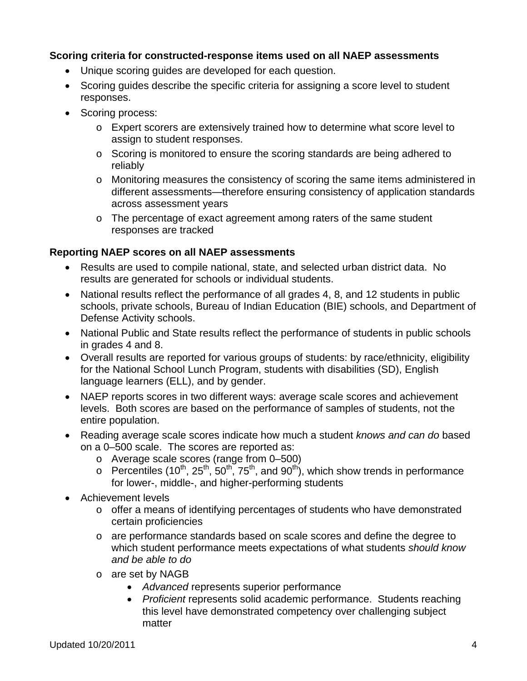#### **Scoring criteria for constructed-response items used on all NAEP assessments**

- Unique scoring guides are developed for each question.
- Scoring guides describe the specific criteria for assigning a score level to student responses.
- Scoring process:
	- o Expert scorers are extensively trained how to determine what score level to assign to student responses.
	- o Scoring is monitored to ensure the scoring standards are being adhered to reliably
	- o Monitoring measures the consistency of scoring the same items administered in different assessments—therefore ensuring consistency of application standards across assessment years
	- o The percentage of exact agreement among raters of the same student responses are tracked

### **Reporting NAEP scores on all NAEP assessments**

- Results are used to compile national, state, and selected urban district data. No results are generated for schools or individual students.
- National results reflect the performance of all grades 4, 8, and 12 students in public schools, private schools, Bureau of Indian Education (BIE) schools, and Department of Defense Activity schools.
- National Public and State results reflect the performance of students in public schools in grades 4 and 8.
- Overall results are reported for various groups of students: by race/ethnicity, eligibility for the National School Lunch Program, students with disabilities (SD), English language learners (ELL), and by gender.
- NAEP reports scores in two different ways: average scale scores and achievement levels. Both scores are based on the performance of samples of students, not the entire population.
- Reading average scale scores indicate how much a student *knows and can do* based on a 0–500 scale. The scores are reported as:
	- o Average scale scores (range from 0–500)
	- $\circ$  Percentiles (10<sup>th</sup>, 25<sup>th</sup>, 50<sup>th</sup>, 75<sup>th</sup>, and 90<sup>th</sup>), which show trends in performance for lower-, middle-, and higher-performing students
- Achievement levels
	- o offer a means of identifying percentages of students who have demonstrated certain proficiencies
	- o are performance standards based on scale scores and define the degree to which student performance meets expectations of what students *should know and be able to do*
	- o are set by NAGB
		- *Advanced* represents superior performance
		- *Proficient* represents solid academic performance. Students reaching this level have demonstrated competency over challenging subject matter